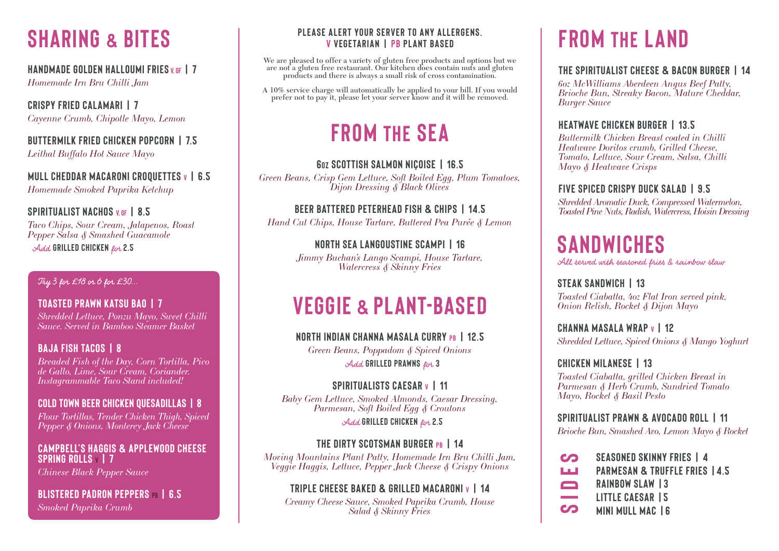*Homemade Irn Bru Chilli Jam*

**CRISPY FRIED CALAMARI | 7** *Cayenne Crumb, Chipotle Mayo, Lemon*

**BUTTERMILK FRIED CHICKEN POPCORN | 7.5** *Leithal Buffalo Hot Sauce Mayo*

**MULL CHEDDAR MACARONI CROQUETTES v | 6.5** *Homemade Smoked Paprika Ketchup*

# **SPIRITUALIST NACHOS V GF | 8.5**

*Taco Chips, Sour Cream, Jalapenos, Roast Pepper Salsa & Smashed Guacamole*

Add **GRILLED CHICKEN** for **2.5**

# **FROM THE SEA**

# **6OZ SCOTTISH SALMON NIÇOISE | 16.5**

*Green Beans, Crisp Gem Lettuce, Soft Boiled Egg, Plum Tomatoes, Dijon Dressing & Black Olives*

# **BEER BATTERED PETERHEAD FISH & CHIPS | 14.5**

*Hand Cut Chips, House Tartare, Buttered Pea Purée & Lemon*

# **NORTH SEA LANGOUSTINE SCAMPI | 16**

*Jimmy Buchan's Lango Scampi, House Tartare, Watercress & Skinny Fries*

> **SEASONED SKINNY FRIES | 4 PARMESAN & TRUFFLE FRIES |4.5 RAINBOW SLAW |3 LITTLE CAESAR |5 MINI MULL MAC |6**

### **PLEASE ALERT YOUR SERVER TO ANY ALLERGENS. V VEGETARIAN | PB PLANT BASED**

*Green Beans, Poppadom & Spiced Onions* Add GRILLED PRAWNS for 3

# **SPIRITUALISTS CAESAR v | 11**

We are pleased to offer a variety of gluten free products and options but we are not a gluten free restaurant. Our kitchen does contain nuts and gluten products and there is always a small risk of cross contamination.

A 10% service charge will automatically be applied to your bill. If you would prefer not to pay it, please let your server know and it will be removed.

# **FROM THE LAND**

# **THE SPIRITUALIST CHEESE & BACON BURGER | 14**

*6oz McWilliams Aberdeen Angus Beef Patty, Brioche Bun, Streaky Bacon, Mature Cheddar,* 

# *Burger Sauce*

# **HEATWAVE CHICKEN BURGER | 13.5**

*Buttermilk Chicken Breast coated in Chilli Heatwave Doritos crumb, Grilled Cheese, Tomato, Lettuce, Sour Cream, Salsa, Chilli Mayo & Heatwave Crisps*

# **FIVE SPICED CRISPY DUCK SALAD | 9.5**

*Shredded Aromatic Duck, Compressed Watermelon, Toasted Pine Nuts, Radish, Watercress, Hoisin Dressing*

# **VEGGIE & PLANT-BASED**

**NORTH INDIAN CHANNA MASALA CURRY PB | 12.5**

*Baby Gem Lettuce, Smoked Almonds, Caesar Dressing, Parmesan, Soft Boiled Egg & Croutons* Add **GRILLED CHICKEN** for **2.5**

# **THE DIRTY SCOTSMAN BURGER PB | 14**

*Moving Mountains Plant Patty, Homemade Irn Bru Chilli Jam, Veggie Haggis, Lettuce, Pepper Jack Cheese & Crispy Onions*

# **TRIPLE CHEESE BAKED & GRILLED MACARONI V | 14**

*Creamy Cheese Sauce, Smoked Paprika Crumb, House Salad & Skinny Fries*

# **SANDWICHES**

All served with seasoned fries & rainbow slaw

# **STEAK SANDWICH | 13**

*Toasted Ciabatta, 4oz Flat Iron served pink, Onion Relish, Rocket & Dijon Mayo* 

# **CHANNA MASALA WRAP v | 12**

*Shredded Lettuce, Spiced Onions & Mango Yoghurt*

# **CHICKEN MILANESE | 13**

*Toasted Ciabatta, grilled Chicken Breast in Parmesan & Herb Crumb, Sundried Tomato Mayo, Rocket & Basil Pesto* 

### **SPIRITUALIST PRAWN & AVOCADO ROLL | 11**

*Brioche Bun, Smashed Avo, Lemon Mayo & Rocket*

**SIDES**

# **SHARING & BITES**

# **HANDMADE GOLDEN HALLOUMI FRIES V GF | 7**

Try 3 for £18 or 6 for £30...

**TOASTED PRAWN KATSU BAO | 7** *Shredded Lettuce, Ponzu Mayo, Sweet Chilli Sauce. Served in Bamboo Steamer Basket*

# **BAJA FISH TACOS | 8**

*Breaded Fish of the Day, Corn Tortilla, Pico de Gallo, Lime, Sour Cream, Coriander. Instagrammable Taco Stand included!*

### **COLD TOWN BEER CHICKEN QUESADILLAS | 8**

*Flour Tortillas, Tender Chicken Thigh, Spiced Pepper & Onions, Monterey Jack Cheese*

### **CAMPBELL'S HAGGIS & APPLEWOOD CHEESE SPRING ROLLS <sup>v</sup> | 7**

*Chinese Black Pepper Sauce*

**BLISTERED PADRON PEPPERS pb | 6.5** *Smoked Paprika Crumb*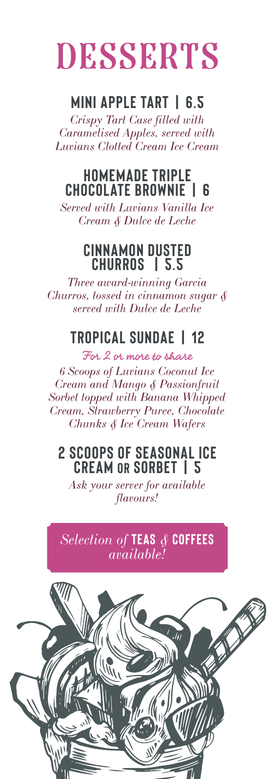# DESSERTS

#### **MINI APPLE TART | 6.5**

*Crispy Tart Case filled with Caramelised Apples, served with Luvians Clotted Cream Ice Cream*

#### **HOMEMADE TRIPLE CHOCOLATE BROWNIE | 6**

*Served with Luvians Vanilla Ice Cream & Dulce de Leche*

#### **CINNAMON DUSTED CHURROS | 5.5**

*Three award-winning Garcia Churros, tossed in cinnamon sugar & served with Dulce de Leche*

#### **TROPICAL SUNDAE | 12**

For 2 or more to share *6 Scoops of Luvians Coconut Ice Cream and Mango & Passionfruit Sorbet topped with Banana Whipped Cream, Strawberry Puree, Chocolate Chunks & Ice Cream Wafers*

#### **2 SCOOPS OF SEASONAL ICE CREAM OR SORBET | 5**

*Ask your server for available flavours!*

*Selection of* **TEAS** *&* **COFFEES** *available!*

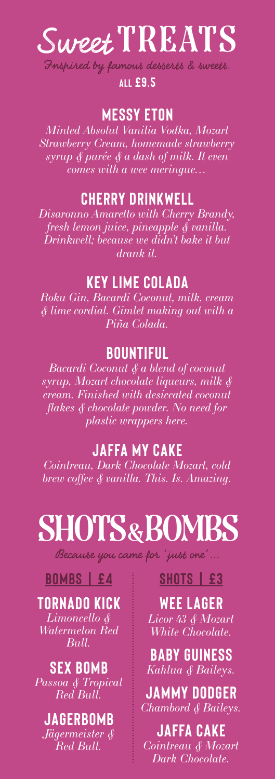# Sweet TREATS

Inspired by famous desserts & sweets.

**ALL £9.5**

#### **MESSY ETON**

*Minted Absolut Vanilia Vodka, Mozart Strawberry Cream, homemade strawberry syrup & purée & a dash of milk. It even comes with a wee meringue…*

#### **CHERRY DRINKWELL**

*Disaronno Amaretto with Cherry Brandy, fresh lemon juice, pineapple & vanilla. Drinkwell; because we didn't bake it but drank it.*

#### **KEY LIME COLADA**

*Roku Gin, Bacardi Coconut, milk, cream & lime cordial. Gimlet making out with a Piña Colada.*

#### **BOUNTIFUL**

*Bacardi Coconut & a blend of coconut syrup, Mozart chocolate liqueurs, milk & cream. Finished with desiccated coconut flakes & chocolate powder. No need for plastic wrappers here.*

#### **JAFFA MY CAKE**

*Cointreau, Dark Chocolate Mozart, cold brew coffee & vanilla. This. Is. Amazing.*

# SHOTS & BOMBS

Because you came for 'just one'...

#### **BOMBS | £4**

#### **TORNADO KICK**

*Limoncello & Watermelon Red Bull.*

**SEX BOMB** *Passoa & Tropical Red Bull.*

**JAGERBOMB** *Jägermeister & Red Bull.*

#### **SHOTS | £3**

**WEE LAGER** *Licor 43 & Mozart White Chocolate.*

**BABY GUINESS** *Kahlua & Baileys.*

**JAMMY DODGER** *Chambord & Baileys.*

**JAFFA CAKE** *Cointreau & Mozart Dark Chocolate.*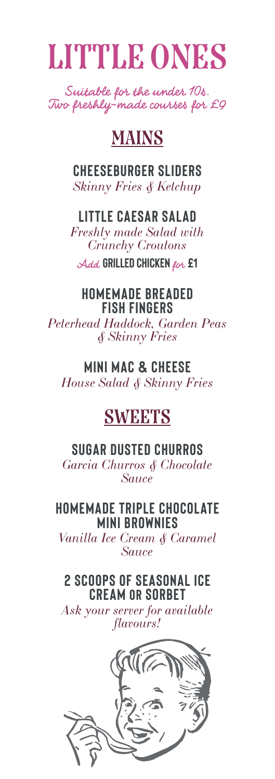

Suitable for the under 10s. Two freshly-made courses for £9

#### MAINS

**CHEESEBURGER SLIDERS** *Skinny Fries & Ketchup*

#### **LITTLE CAESAR SALAD**

*Freshly made Salad with Crunchy Croutons*

Add **GRILLED CHICKEN** for **£1**

#### **HOMEMADE BREADED FISH FINGERS**

*Peterhead Haddock, Garden Peas & Skinny Fries*

#### **MINI MAC & CHEESE**

*House Salad & Skinny Fries*

#### **SWEETS**

#### **SUGAR DUSTED CHURROS**

*Garcia Churros & Chocolate Sauce*

#### **HOMEMADE TRIPLE CHOCOLATE MINI BROWNIES**

*Vanilla Ice Cream & Caramel Sauce*

#### **2 SCOOPS OF SEASONAL ICE CREAM OR SORBET**

*Ask your server for available flavours!*